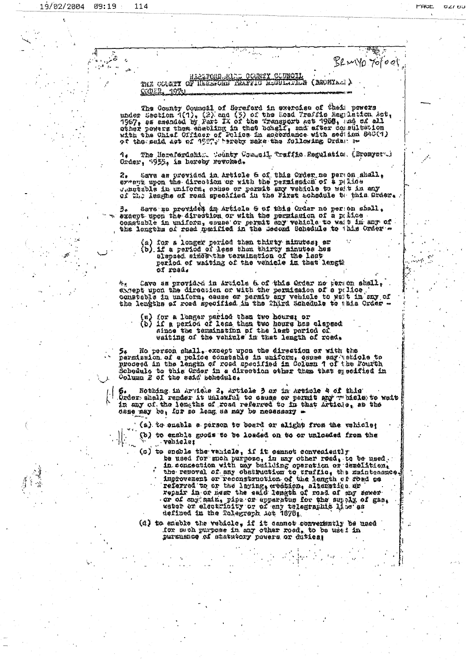فتمر

LIQUE.

1920

 $\sim$  . т.<br>Теография (YO 701001

## THE COUNT OF THE CONTY CORPORATION (BSONIAL)

The Gounty Council of Hermford in exercise of their powers<br>under Section  $1(1)$ , (2) and (5) of the Hoad Traffic Hegulation Act,<br>1967, se amended by Fart IX of the Transport act 1968, and of all<br>other powers them enabling

4. The Herefordship. Tounty Council, Traffic Regulation (Bromyarti)<br>Order, 7953, is hereby revoked.

2. Sava as provided in Article & of this Order no person shall,<br>extent upon the direction on with the permission of & palice<br>Jesuisble in uniform, chase or permit any vehicle to weat in any<br>of M.; leaghe of read specified

3. Save as provided in Article & ef this Order no person shall.<br>Diespt upon the direction or with the permission of a pulles<br>constable in uniform, sames or permit any vehicle to well in any of<br>the lengths of reed medfited

(a) for a longer period than thirty minutes; or<br>(b) if a period of less than thirty minutes has alepsed since the consinetion of the last period of watting of the vehicle in that length of read.

\*: Cave as provided in Article 6 of this Order no person stall,<br>extent upon the direction or with the permission of a pullee.<br>constation in uniform, cause or permit any vehicle to wait in any of<br>the lengths of road specifi

- 
- (w) for a longer pariod then two hours; or<br>(b) if a period of less than two hours hes clapsed<br>aince the termination of the lest period of<br>waiting of the vehicle in that leagth of road.

 $5*$  No person shall, except upon the direction or with the<br>parmission of a police constable in uniform, canne any periols to<br>proceed in the length of roed specified in Column 1 of the Fourth<br>Schedule to this Urder in a d

6. Nothing in Arkicle 2, Article 3 az in Article 4 cf this<br>Úzder shall render it unlasful to cause or permit any whicle to wait<br>in any of the lengths of road referred to in that Article, as the dase may be, for so leng as may be necessary -

(a) to cmable a person to board or alight from the wahicle;

(b) to enable goods to be losded on to or unlosded from the vehicle;

(c) to encole the varials, if it cannot conveniently<br>be used for such purpose, in any other read, to be used.<br>in connection with any building operation or iemelition,<br>the renoval of any obstruction to traffic, the maintena or of ony main, pipe or apparatus for the sumply of gas, weber or electricity or of eny telegracine line as

(d) to enable the vebicle, if it cannot convenently be used for such purpose in any other road, to be used in pursusness of statutory powers or duties;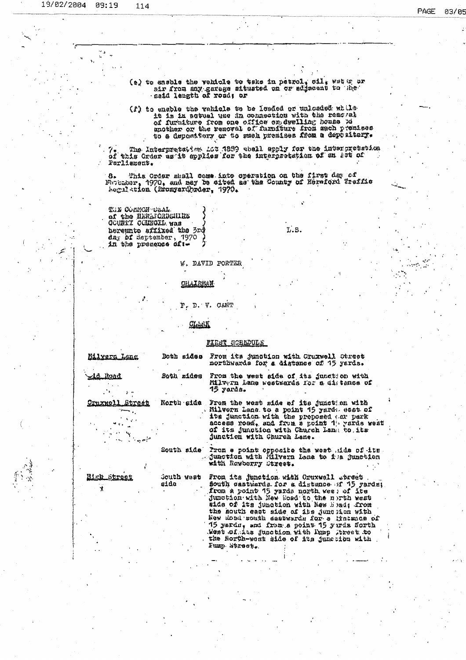$\ddot{\phantom{0}}$ 

 $\frac{1}{2}$ 

|                     |                                  | (e) to ensble the webicle to take in patrol, cil, water or                              |  |
|---------------------|----------------------------------|-----------------------------------------------------------------------------------------|--|
|                     |                                  | air from any garage situated on or adjacent to the                                      |  |
|                     | anid length of roud; or          |                                                                                         |  |
|                     |                                  | (f) to enable the rehiols to be leaded or unloaded while                                |  |
|                     |                                  | it is in actual une in connection with the reac at                                      |  |
|                     |                                  | of furniture from one office on dwelling house po                                       |  |
|                     |                                  | unother or the removal of furniture from sach premises                                  |  |
|                     |                                  | to a depository or to suck presiess from a depository.                                  |  |
|                     |                                  | The Interpretation ACT (200) whall apply for the interpretation                         |  |
|                     |                                  | of this Order as it spplies for the interpretation of an act of                         |  |
| Porliement.         |                                  |                                                                                         |  |
| 8.                  |                                  | This Order shell come into operation on the first day of                                |  |
|                     |                                  | Naturbur, 1970, and may be sited as the County of Neraford Traffic                      |  |
|                     | Segiletion (Eronyard)rder, 1970. |                                                                                         |  |
|                     |                                  |                                                                                         |  |
| тля останон таль.   |                                  |                                                                                         |  |
| GOUNTY COUNGILE WAS | of the NERLICADEMINE             |                                                                                         |  |
|                     | hereunto affixed the 3rd         | L.S.                                                                                    |  |
|                     | $\Delta n_x$ of September, 1970  |                                                                                         |  |
|                     | in the presence of :-            |                                                                                         |  |
|                     |                                  |                                                                                         |  |
|                     |                                  | W. DAVID PORTER                                                                         |  |
|                     |                                  |                                                                                         |  |
|                     | OHAIRMAN                         |                                                                                         |  |
|                     |                                  |                                                                                         |  |
|                     |                                  | P. D. V. CANT                                                                           |  |
|                     |                                  |                                                                                         |  |
|                     | <u>CLANK</u>                     |                                                                                         |  |
|                     |                                  |                                                                                         |  |
|                     |                                  | FIRST COREDULE                                                                          |  |
|                     |                                  |                                                                                         |  |
| <u>Milvera Lang</u> | Both sides                       | From its junction with Cruxwell Ctreet                                                  |  |
|                     |                                  | northwards for a distance of 15 yards.                                                  |  |
| zie Noad            | Both ridou                       | From the west side of its junction with                                                 |  |
|                     |                                  | Milvern Lane westwards for a distance of<br>15 yarda.                                   |  |
|                     |                                  |                                                                                         |  |
| Urtxko)<br>Stroct   |                                  | North side Frem the west side of its junct am with                                      |  |
|                     |                                  | . Milvern Lana to a point 15 yardı eset of<br>ite junction with the proposed par park   |  |
|                     |                                  | access road, and frum a point 1' vards weat                                             |  |
|                     |                                  | of its junction with Church Lang to its                                                 |  |
|                     |                                  | junction with Church Lane.                                                              |  |
|                     | South side                       | Prom a point opposite tha west side of its                                              |  |
|                     |                                  | junction with Milvern Lene to its Junction                                              |  |
|                     |                                  | with Rowberry Street.                                                                   |  |
| Hirk Stree          | South west                       | From its junction with Cruxwell etreet                                                  |  |
| *                   | sido                             | South castwards for a distance of 15 yards:                                             |  |
|                     |                                  | from a point 15 yards north wee; of ite<br>junction with New Hoad to the north west     |  |
|                     |                                  | morl phet its junction with New Head, from                                              |  |
|                     |                                  | the south cast side of its junclion with                                                |  |
|                     |                                  | New Mood south seatwards for a lintence of<br>15 yardu, and from a point 15 yarda Sorth |  |
|                     |                                  | West of the junction with lump treet to                                                 |  |
|                     |                                  | the North-west side of its junction with                                                |  |
|                     |                                  | Funp atroct.                                                                            |  |
|                     |                                  |                                                                                         |  |
|                     |                                  |                                                                                         |  |

 $\sum_{i=1}^{n}$ 

 $\frac{1}{2}$ 

 $\ddot{\phantom{0}}$ 

 $\ddot{\phantom{0}}$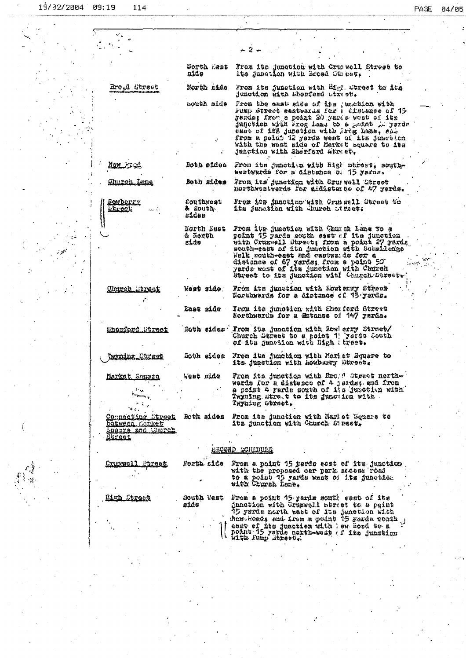|                                     |                                      | 2,                                                                                                                                                                                                                            |  |
|-------------------------------------|--------------------------------------|-------------------------------------------------------------------------------------------------------------------------------------------------------------------------------------------------------------------------------|--|
|                                     | GortΩ ∴ast                           | Frez its junction with Crumwell Street to                                                                                                                                                                                     |  |
|                                     | aide.                                | ita junotich with Broad Street. [                                                                                                                                                                                             |  |
| Ero <sub>n</sub> d Street           | North mids                           | From its junction with Migh Ctreet to its<br>junction with Shorford atract.                                                                                                                                                   |  |
|                                     | oouth side                           | From the east side of its , unction with<br>Fumi street eastwarks for A afglance of 15<br>garda: from a point 20 yards woot of its<br>jugotien with Frog Lane to a peint de yardr<br>east of its junction with ireg hene, end |  |
|                                     |                                      | from a point 12 yerds west of its junction.<br>with the west side of Market square to its<br>junction with Sherford atreet.                                                                                                   |  |
| <u>Nav Jud</u>                      | Both sides                           | From its junction with High wirest, south-<br>westwards for a distance of 15 yerde.                                                                                                                                           |  |
| <u> Church Lane</u>                 | Both sides                           | From its junction with Cruwwell Gerect<br>northwentwards for aidistement of 47 yerds.                                                                                                                                         |  |
| <u>Renderry</u><br><u>retroom</u>   | Couthwest<br>& South.<br>sidos       | <i>lrom its junction</i> with Crussell Street to<br>its junction with whurch utrect:                                                                                                                                          |  |
|                                     | North Last<br>& North<br><b>E1de</b> | From its junction with Church Lane to a<br>point 15 yards south east of its junction<br>with Crux-ell Street; from a point 27 yerds<br>south-east of itn junction with Schallengs<br>Welk south-east mad castwards for a      |  |
|                                     |                                      | distance of 67 yards; from a point 50<br>yards west of its junction with Church<br>Street to its junction wit! Church Street.                                                                                                 |  |
| Ohurch Street                       | koat sido :                          | Fróm its junction with Howlerry Street<br>Northwards for a distance of 75 yerds.                                                                                                                                              |  |
|                                     | taat side                            | Fron its junction with Sher fard Street<br>Northwards for a Matence of 747 rarde.                                                                                                                                             |  |
| Sharford Stokest                    |                                      | Both sides Trom its junction with Rowlerry Struct/<br>Church Street to a point 1' yerdu Couth<br>of the hunction with Digh (treet.                                                                                            |  |
| Texning Ctreet                      |                                      | Soth sides From its junction with Merlet Square to<br>its junction with howbarry Street.                                                                                                                                      |  |
| Markat Sonaro                       | ebia saaw                            | From its junction with Bro. A Street north<br>werds for a distance of 4 jards; and from<br>a poimt 4 yards south of its junction with<br>Twyning stre.t to its junc ica with<br>Twyning Street.                               |  |
| Compocting Street<br>batween Harket | Both sides                           | From its dunction with Narbet Square to<br>ita junction with Church S' rest.                                                                                                                                                  |  |
| <u>šauvre avd Sdurch.</u>           |                                      |                                                                                                                                                                                                                               |  |
| <u>Street</u>                       |                                      | SROOND SOILTUIN                                                                                                                                                                                                               |  |
|                                     |                                      |                                                                                                                                                                                                                               |  |
| <u> Cruxwell Utreet</u>             |                                      | Morth side from a point 15 yerds west of its junction<br>with the proposed car park access road<br>to a point 15 yerds west of its junction<br>with Church Lene.                                                              |  |
| Hish Street                         | South Yest<br>øidu                   | From a point 45 yards south geat of its<br>junction with Grupwell mtrest to a paint<br>15 yarda nerth wast of its janetion with<br>her hoods and irem a point 15 yezda pouth j                                                |  |
|                                     |                                      | east of its juacties with lew hood to a<br>posnt 15 yarda porth-west of its junction<br>With furn street.                                                                                                                     |  |